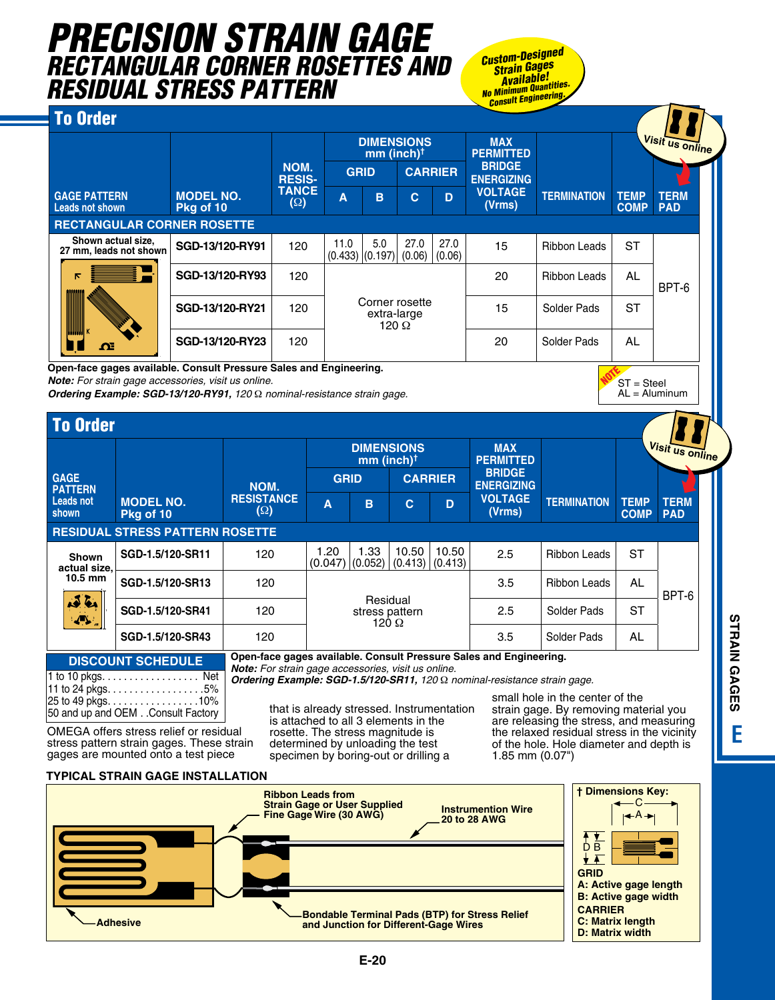## *Precision Strain Gage rectangular corner rosettes and residual stress pattern*

*Custom-Designed Strain Gages Available! No Minimum Quantities. Consult Engineering.*

#### To Order

|                                              |                               |                       |                               | <b>DIMENSIONS</b><br>$mm (inch)$ <sup>†</sup> |                                    |                | <b>MAX</b><br><b>PERMITTED</b> |                     |                            | Visit us online           |
|----------------------------------------------|-------------------------------|-----------------------|-------------------------------|-----------------------------------------------|------------------------------------|----------------|--------------------------------|---------------------|----------------------------|---------------------------|
|                                              |                               | NOM.<br><b>RESIS-</b> | <b>CARRIER</b><br><b>GRID</b> |                                               | <b>BRIDGE</b><br><b>ENERGIZING</b> |                |                                |                     |                            |                           |
| <b>GAGE PATTERN</b><br>Leads not shown       | <b>MODEL NO.</b><br>Pkg of 10 | <b>TANCE</b><br>(Ω)   | A                             | B                                             | C                                  | D              | <b>VOLTAGE</b><br>(Vrms)       | <b>TERMINATION</b>  | <b>TEMP</b><br><b>COMP</b> | <b>TERM</b><br><b>PAD</b> |
| <b>RECTANGULAR CORNER ROSETTE</b>            |                               |                       |                               |                                               |                                    |                |                                |                     |                            |                           |
| Shown actual size,<br>27 mm, leads not shown | SGD-13/120-RY91               | 120                   | 11.0<br>$(0.433)$ $(0.197)$   | 5.0                                           | 27.0<br>(0.06)                     | 27.0<br>(0.06) | 15                             | <b>Ribbon Leads</b> | <b>ST</b>                  |                           |
| к<br>88888888                                | SGD-13/120-RY93               | 120                   |                               |                                               |                                    |                | 20                             | Ribbon Leads        | <b>AL</b>                  | BPT-6                     |
|                                              | SGD-13/120-RY21               | 120                   |                               | Corner rosette<br>extra-large<br>120 $\Omega$ |                                    |                | 15                             | Solder Pads         | <b>ST</b>                  |                           |
| <b>HANALDIN</b><br>$\Omega$                  | SGD-13/120-RY23               | 120                   |                               |                                               |                                    |                | 20                             | Solder Pads         | <b>AL</b>                  |                           |

**Open-face gages available. Consult Pressure Sales and Engineering.**

*Note: For strain gage accessories, visit us online.*

*Ordering Example: SGD-13/120-RY91, 120* Ω *nominal-resistance strain gage.*

|                               |                                        |                          |             | $mm (inch)$ <sup>†</sup>    | <b>DIMENSIONS</b>   |       | <b>MAX</b><br><b>PERMITTED</b>     |                     |                            | <mark>∡Visit us online</mark> |
|-------------------------------|----------------------------------------|--------------------------|-------------|-----------------------------|---------------------|-------|------------------------------------|---------------------|----------------------------|-------------------------------|
| <b>GAGE</b><br><b>PATTERN</b> | <b>MODEL NO.</b><br>Pkg of 10          | NOM.                     | <b>GRID</b> |                             | <b>CARRIER</b>      |       | <b>BRIDGE</b><br><b>ENERGIZING</b> |                     |                            |                               |
| <b>Leads not</b><br>shown     |                                        | <b>RESISTANCE</b><br>(Ω) | A           | B                           | C                   | D     | <b>VOLTAGE</b><br>(Vrms)           | <b>TERMINATION</b>  | <b>TEMP</b><br><b>COMP</b> | <b>TERM</b><br><b>PAD</b>     |
|                               | <b>RESIDUAL STRESS PATTERN ROSETTE</b> |                          |             |                             |                     |       |                                    |                     |                            |                               |
| <b>Shown</b>                  |                                        |                          | 1.20        |                             | 10.50               | 10.50 |                                    |                     |                            |                               |
|                               | SGD-1.5/120-SR11                       | 120                      | (0.047)     | 1.33<br>(0.052)             | $(0.413)$ $(0.413)$ |       | 2.5                                | <b>Ribbon Leads</b> | <b>ST</b>                  |                               |
| actual size,<br>10.5 mm       | SGD-1.5/120-SR13                       | 120                      |             |                             |                     |       | 3.5                                | Ribbon Leads        | <b>AL</b>                  |                               |
| 12.61<br>પ⊻                   | SGD-1.5/120-SR41                       | 120                      |             | Residual<br>120 $\, \Omega$ | stress pattern      |       | 2.5                                | Solder Pads         | <b>ST</b>                  | BPT-6                         |

 $1$  to  $10$  pkgs.  $\dots$   $\dots$   $\dots$   $\dots$   $\dots$   $\dots$  Net 11 to 24 pkgs. . . . . . . . . . . . . . . . . 5% 25 to 49 pkgs. . . . . . . . . . . . . . . . 10% 50 and up and OEM. . Consult Factory

that is already stressed. Instrumentation is attached to all 3 elements in the rosette. The stress magnitude is determined by unloading the test

specimen by boring-out or drilling a

small hole in the center of the strain gage. By removing material you are releasing the stress, and measuring the relaxed residual stress in the vicinity of the hole. Hole diameter and depth is 1.85 mm (0.07")

**NOTE**<br>ST = Steel  $AL =$  Aluminum

OMEGA offers stress relief or residual stress pattern strain gages. These strain gages are mounted onto a test piece

#### **Typical strain gage installation**

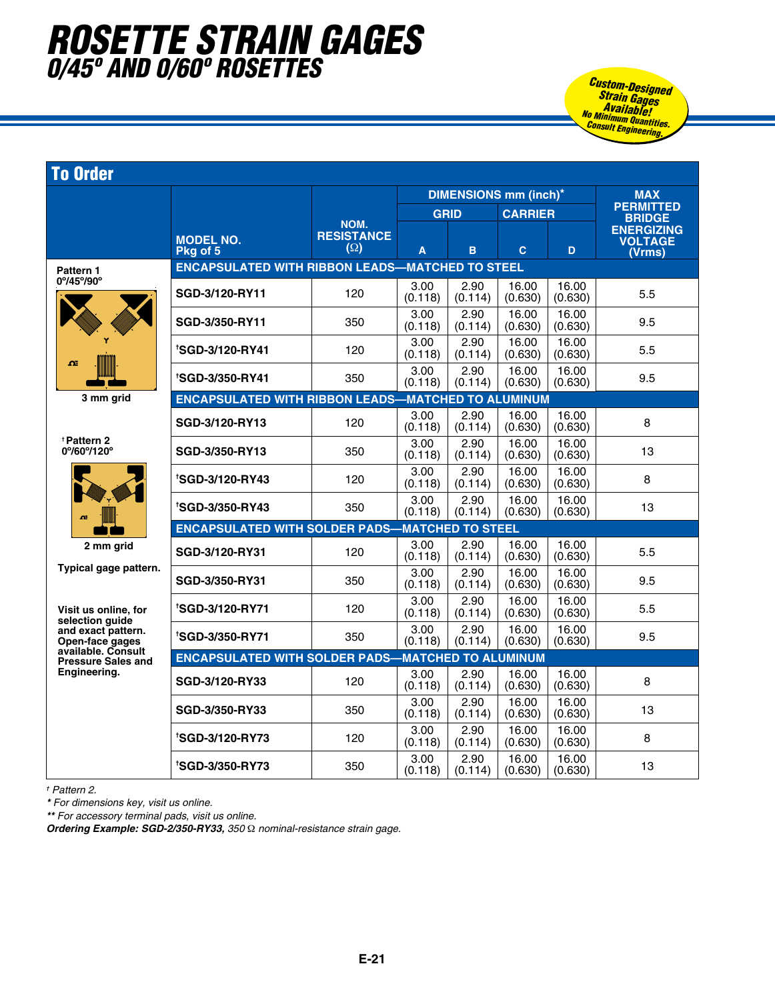## *rosette strain gages 0/45º and 0/60º rosettes Custom-Designed*

|                                                             |                                                           |                                         |                 |                 | <b>DIMENSIONS mm (inch)*</b> |                  | <b>MAX</b>                                    |
|-------------------------------------------------------------|-----------------------------------------------------------|-----------------------------------------|-----------------|-----------------|------------------------------|------------------|-----------------------------------------------|
|                                                             |                                                           |                                         |                 | <b>GRID</b>     | <b>CARRIER</b>               |                  | <b>PERMITTED</b><br><b>BRIDGE</b>             |
|                                                             | <b>MODEL NO.</b><br>Pkg of 5                              | NOM.<br><b>RESISTANCE</b><br>$(\Omega)$ | A               | B               | $\mathbf{C}$                 | D.               | <b>ENERGIZING</b><br><b>VOLTAGE</b><br>(Vrms) |
| Pattern 1                                                   | <b>ENCAPSULATED WITH RIBBON LEADS-MATCHED TO STEEL</b>    |                                         |                 |                 |                              |                  |                                               |
| 0°/45°/90°                                                  | SGD-3/120-RY11                                            | 120                                     | 3.00<br>(0.118) | 2.90<br>(0.114) | 16.00<br>(0.630)             | 16.00<br>(0.630) | 5.5                                           |
|                                                             | SGD-3/350-RY11                                            | 350                                     | 3.00<br>(0.118) | 2.90<br>(0.114) | 16.00<br>(0.630)             | 16.00<br>(0.630) | 9.5                                           |
| $\Omega$                                                    | 'SGD-3/120-RY41                                           | 120                                     | 3.00<br>(0.118) | 2.90<br>(0.114) | 16.00<br>(0.630)             | 16.00<br>(0.630) | 5.5                                           |
|                                                             | 'SGD-3/350-RY41                                           | 350                                     | 3.00<br>(0.118) | 2.90<br>(0.114) | 16.00<br>(0.630)             | 16.00<br>(0.630) | 9.5                                           |
| 3 mm grid                                                   | <b>ENCAPSULATED WITH RIBBON LEADS-MATCHED TO ALUMINUM</b> |                                         |                 |                 |                              |                  |                                               |
|                                                             | SGD-3/120-RY13                                            | 120                                     | 3.00<br>(0.118) | 2.90<br>(0.114) | 16.00<br>(0.630)             | 16.00<br>(0.630) | 8                                             |
| <b>*Pattern 2</b><br>0%00%120°                              | SGD-3/350-RY13                                            | 350                                     | 3.00<br>(0.118) | 2.90<br>(0.114) | 16.00<br>(0.630)             | 16.00<br>(0.630) | 13                                            |
|                                                             | <b>'SGD-3/120-RY43</b>                                    | 120                                     | 3.00<br>(0.118) | 2.90<br>(0.114) | 16.00<br>(0.630)             | 16.00<br>(0.630) | 8                                             |
| œ                                                           | <b>'SGD-3/350-RY43</b>                                    | 350                                     | 3.00<br>(0.118) | 2.90<br>(0.114) | 16.00<br>(0.630)             | 16.00<br>(0.630) | 13                                            |
|                                                             | <b>ENCAPSULATED WITH SOLDER PADS-MATCHED TO STEEL</b>     |                                         |                 |                 |                              |                  |                                               |
| 2 mm grid<br>Typical gage pattern.                          | SGD-3/120-RY31                                            | 120                                     | 3.00<br>(0.118) | 2.90<br>(0.114) | 16.00<br>(0.630)             | 16.00<br>(0.630) | 5.5                                           |
|                                                             | SGD-3/350-RY31                                            | 350                                     | 3.00<br>(0.118) | 2.90<br>(0.114) | 16.00<br>(0.630)             | 16.00<br>(0.630) | 9.5                                           |
| Visit us online, for<br>selection quide                     | <b>'SGD-3/120-RY71</b>                                    | 120                                     | 3.00<br>(0.118) | 2.90<br>(0.114) | 16.00<br>(0.630)             | 16.00<br>(0.630) | 5.5                                           |
| and exact pattern.<br>Open-face gages<br>available, Consult | <b>'SGD-3/350-RY71</b>                                    | 350                                     | 3.00<br>(0.118) | 2.90<br>(0.114) | 16.00<br>(0.630)             | 16.00<br>(0.630) | 9.5                                           |
| <b>Pressure Sales and</b>                                   | <b>ENCAPSULATED WITH SOLDER PADS-MATCHED TO ALUMINUM</b>  |                                         |                 |                 |                              |                  |                                               |
| Engineering.                                                | SGD-3/120-RY33                                            | 120                                     | 3.00<br>(0.118) | 2.90<br>(0.114) | 16.00<br>(0.630)             | 16.00<br>(0.630) | 8                                             |
|                                                             | SGD-3/350-RY33                                            | 350                                     | 3.00<br>(0.118) | 2.90<br>(0.114) | 16.00<br>(0.630)             | 16.00<br>(0.630) | 13                                            |
|                                                             | <b>'SGD-3/120-RY73</b>                                    | 120                                     | 3.00<br>(0.118) | 2.90<br>(0.114) | 16.00<br>(0.630)             | 16.00<br>(0.630) | 8                                             |
|                                                             | <b>'SGD-3/350-RY73</b>                                    | 350                                     | 3.00<br>(0.118) | 2.90<br>(0.114) | 16.00<br>(0.630)             | 16.00<br>(0.630) | 13                                            |

*Strain Gages Available! No Minimum Quantities. Consult Engineering.*

*† Pattern 2.*

*\* For dimensions key, visit us online.* 

*\*\* For accessory terminal pads, visit us online.*

*Ordering Example: SGD-2/350-RY33, 350* Ω *nominal-resistance strain gage.*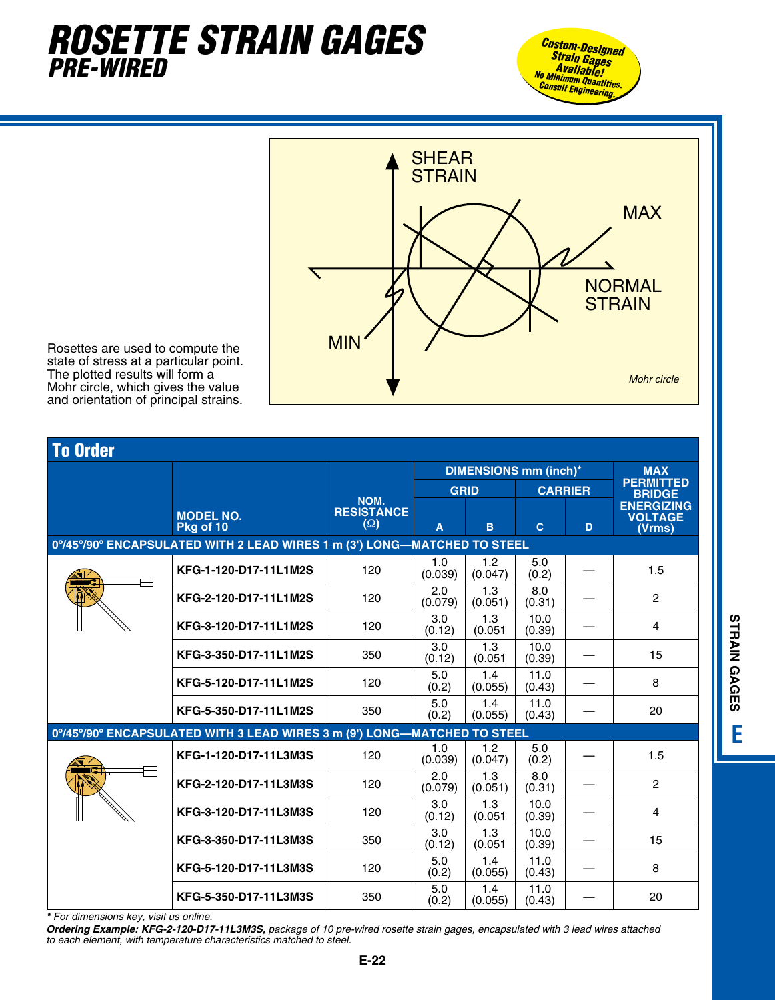#### *ROSETTE STRAIN GAGE pre-wired*  $\boldsymbol{P}$





Rosettes are used to compute the state of stress at a particular point. The plotted results will form a Mohr circle, which gives the value and orientation of principal strains.

| <b>To Order</b> |                                                                          |                                 |                |                |                              |   |                                               |
|-----------------|--------------------------------------------------------------------------|---------------------------------|----------------|----------------|------------------------------|---|-----------------------------------------------|
|                 |                                                                          |                                 |                |                | <b>DIMENSIONS mm (inch)*</b> |   | <b>MAX</b>                                    |
|                 |                                                                          | NOM.                            | GRID           |                | <b>CARRIER</b>               |   | <b>PERMITTED</b><br><b>BRIDGE</b>             |
|                 | <b>MODEL NO.</b><br>Pkg of 10                                            | <b>RESISTANCE</b><br>$(\Omega)$ | A              | B              | $\mathbf{C}$                 | D | <b>ENERGIZING</b><br><b>VOLTAGE</b><br>(Vrms) |
|                 | 0°/45°/90° ENCAPSULATED WITH 2 LEAD WIRES 1 m (3') LONG-MATCHED TO STEEL |                                 |                |                |                              |   |                                               |
|                 | KFG-1-120-D17-11L1M2S                                                    | 120                             | 1.0<br>(0.039) | 1.2<br>(0.047) | 5.0<br>(0.2)                 |   | 1.5                                           |
|                 | KFG-2-120-D17-11L1M2S                                                    | 120                             | 2.0<br>(0.079) | 1.3<br>(0.051) | 8.0<br>(0.31)                |   | 2                                             |
|                 | KFG-3-120-D17-11L1M2S                                                    | 120                             | 3.0<br>(0.12)  | 1.3<br>(0.051) | 10.0<br>(0.39)               |   | 4                                             |
|                 | KFG-3-350-D17-11L1M2S                                                    | 350                             | 3.0<br>(0.12)  | 1.3<br>(0.051) | 10.0<br>(0.39)               |   | 15                                            |
|                 | KFG-5-120-D17-11L1M2S                                                    | 120                             | 5.0<br>(0.2)   | 1.4<br>(0.055) | 11.0<br>(0.43)               |   | 8                                             |
|                 | KFG-5-350-D17-11L1M2S                                                    | 350                             | 5.0<br>(0.2)   | 1.4<br>(0.055) | 11.0<br>(0.43)               |   | 20                                            |
|                 | 0°/45°/90° ENCAPSULATED WITH 3 LEAD WIRES 3 m (9') LONG-MATCHED TO STEEL |                                 |                |                |                              |   |                                               |
|                 | KFG-1-120-D17-11L3M3S                                                    | 120                             | 1.0<br>(0.039) | 1.2<br>(0.047) | 5.0<br>(0.2)                 |   | 1.5                                           |
|                 | KFG-2-120-D17-11L3M3S                                                    | 120                             | 2.0<br>(0.079) | 1.3<br>(0.051) | 8.0<br>(0.31)                |   | 2                                             |
|                 | KFG-3-120-D17-11L3M3S                                                    | 120                             | 3.0<br>(0.12)  | 1.3<br>(0.051) | 10.0<br>(0.39)               |   | 4                                             |
|                 | KFG-3-350-D17-11L3M3S                                                    | 350                             | 3.0<br>(0.12)  | 1.3<br>(0.051) | 10.0<br>(0.39)               |   | 15                                            |
|                 | KFG-5-120-D17-11L3M3S                                                    | 120                             | 5.0<br>(0.2)   | 1.4<br>(0.055) | 11.0<br>(0.43)               |   | 8                                             |
|                 | KFG-5-350-D17-11L3M3S                                                    | 350                             | 5.0<br>(0.2)   | 1.4<br>(0.055) | 11.0<br>(0.43)               |   | 20                                            |

*\* For dimensions key, visit us online.* 

*Ordering Example: KFG-2-120-D17-11L3M3S, package of 10 pre-wired rosette strain gages, encapsulated with 3 lead wires attached to each element, with temperature characteristics matched to steel.*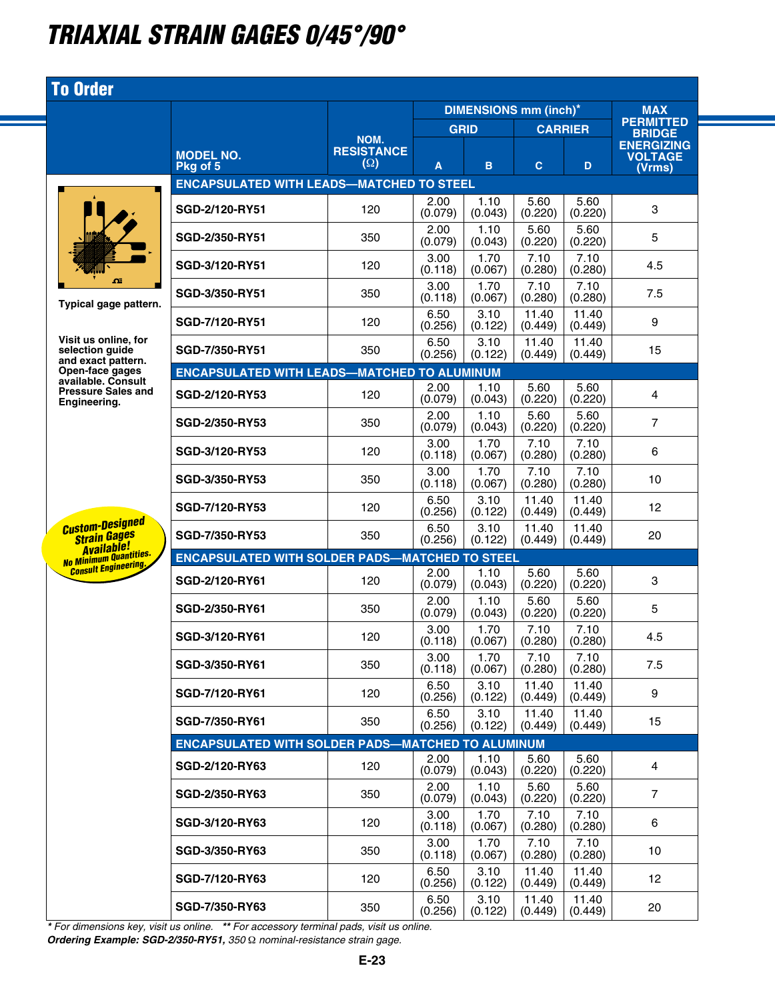## *triaxial strain gages 0/45°/90°*

| <b>To Order</b>                                                    |                                                          |                   |                 |                              |                  |                  |                                     |
|--------------------------------------------------------------------|----------------------------------------------------------|-------------------|-----------------|------------------------------|------------------|------------------|-------------------------------------|
|                                                                    |                                                          |                   |                 | <b>DIMENSIONS mm (inch)*</b> |                  |                  | <b>MAX</b>                          |
|                                                                    |                                                          | NOM.              | <b>GRID</b>     |                              | <b>CARRIER</b>   |                  | <b>PERMITTED</b><br><b>BRIDGE</b>   |
|                                                                    | <b>MODEL NO.</b>                                         | <b>RESISTANCE</b> |                 |                              |                  |                  | <b>ENERGIZING</b><br><b>VOLTAGE</b> |
|                                                                    | Pka of 5                                                 | $(\Omega)$        | Α               | B                            | $\mathbf{C}$     | D                | (Vrms)                              |
|                                                                    | <b>ENCAPSULATED WITH LEADS-MATCHED TO STEEL</b>          |                   |                 |                              |                  |                  |                                     |
|                                                                    | <b>SGD-2/120-RY51</b>                                    | 120               | 2.00<br>(0.079) | 1.10<br>(0.043)              | 5.60<br>(0.220)  | 5.60<br>(0.220)  | 3                                   |
|                                                                    | <b>SGD-2/350-RY51</b>                                    | 350               | 2.00<br>(0.079) | 1.10<br>(0.043)              | 5.60<br>(0.220)  | 5.60<br>(0.220)  | 5                                   |
| $\Omega$<br>Typical gage pattern.                                  | SGD-3/120-RY51                                           | 120               | 3.00<br>(0.118) | 1.70<br>(0.067)              | 7.10<br>(0.280)  | 7.10<br>(0.280)  | 4.5                                 |
|                                                                    | SGD-3/350-RY51                                           | 350               | 3.00<br>(0.118) | 1.70<br>(0.067)              | 7.10<br>(0.280)  | 7.10<br>(0.280)  | 7.5                                 |
|                                                                    | SGD-7/120-RY51                                           | 120               | 6.50<br>(0.256) | 3.10<br>(0.122)              | 11.40<br>(0.449) | 11.40<br>(0.449) | 9                                   |
| Visit us online, for<br>selection quide<br>and exact pattern.      | SGD-7/350-RY51                                           | 350               | 6.50<br>(0.256) | 3.10<br>(0.122)              | 11.40<br>(0.449) | 11.40<br>(0.449) | 15                                  |
| Open-face gages<br>available. Consult                              | <b>ENCAPSULATED WITH LEADS-MATCHED TO ALUMINUM</b>       |                   |                 |                              |                  |                  |                                     |
| <b>Pressure Sales and</b><br>Engineering.                          | SGD-2/120-RY53                                           | 120               | 2.00<br>(0.079) | 1.10<br>(0.043)              | 5.60<br>(0.220)  | 5.60<br>(0.220)  | 4                                   |
|                                                                    | <b>SGD-2/350-RY53</b>                                    | 350               | 2.00<br>(0.079) | 1.10<br>(0.043)              | 5.60<br>(0.220)  | 5.60<br>(0.220)  | $\overline{7}$                      |
|                                                                    | SGD-3/120-RY53                                           | 120               | 3.00<br>(0.118) | 1.70<br>(0.067)              | 7.10<br>(0.280)  | 7.10<br>(0.280)  | 6                                   |
|                                                                    | SGD-3/350-RY53                                           | 350               | 3.00<br>(0.118) | 1.70<br>(0.067)              | 7.10<br>(0.280)  | 7.10<br>(0.280)  | 10                                  |
|                                                                    | <b>SGD-7/120-RY53</b>                                    | 120               | 6.50<br>(0.256) | 3.10<br>(0.122)              | 11.40<br>(0.449) | 11.40<br>(0.449) | 12                                  |
| <b>Custom-Designed</b><br><b>Strain Gages</b><br><b>Available!</b> | SGD-7/350-RY53                                           | 350               | 6.50<br>(0.256) | 3.10<br>(0.122)              | 11.40<br>(0.449) | 11.40<br>(0.449) | 20                                  |
| No Minimum Quantities.<br><b>Consult Engineering,</b>              | <b>ENCAPSULATED WITH SOLDER PADS-MATCHED TO STEEL</b>    |                   |                 |                              |                  |                  |                                     |
|                                                                    | SGD-2/120-RY61                                           | 120               | 2.00<br>(0.079) | 1.10<br>(0.043)              | 5.60<br>(0.220)  | 5.60<br>(0.220)  | 3                                   |
|                                                                    | <b>SGD-2/350-RY61</b>                                    | 350               | 2.00<br>(0.079) | 1.10<br>(0.043)              | 5.60<br>(0.220)  | 5.60<br>(0.220)  | 5                                   |
|                                                                    | SGD-3/120-RY61                                           | 120               | 3.00<br>(0.118) | 1.70<br>(0.067)              | 7.10<br>(0.280)  | 7.10<br>(0.280)  | 4.5                                 |
|                                                                    | SGD-3/350-RY61                                           | 350               | 3.00<br>(0.118) | 1.70<br>(0.067)              | 7.10<br>(0.280)  | 7.10<br>(0.280)  | 7.5                                 |
|                                                                    | SGD-7/120-RY61                                           | 120               | 6.50<br>(0.256) | 3.10<br>(0.122)              | 11.40<br>(0.449) | 11.40<br>(0.449) | 9                                   |
|                                                                    | SGD-7/350-RY61                                           | 350               | 6.50<br>(0.256) | 3.10<br>(0.122)              | 11.40<br>(0.449) | 11.40<br>(0.449) | 15                                  |
|                                                                    | <b>ENCAPSULATED WITH SOLDER PADS-MATCHED TO ALUMINUM</b> |                   |                 |                              |                  |                  |                                     |
|                                                                    | <b>SGD-2/120-RY63</b>                                    | 120               | 2.00<br>(0.079) | 1.10<br>(0.043)              | 5.60<br>(0.220)  | 5.60<br>(0.220)  | $\overline{4}$                      |
|                                                                    | SGD-2/350-RY63                                           | 350               | 2.00<br>(0.079) | 1.10<br>(0.043)              | 5.60<br>(0.220)  | 5.60<br>(0.220)  | $\overline{7}$                      |
|                                                                    | SGD-3/120-RY63                                           | 120               | 3.00<br>(0.118) | 1.70<br>(0.067)              | 7.10<br>(0.280)  | 7.10<br>(0.280)  | 6                                   |
|                                                                    | SGD-3/350-RY63                                           | 350               | 3.00<br>(0.118) | 1.70<br>(0.067)              | 7.10<br>(0.280)  | 7.10<br>(0.280)  | 10 <sup>°</sup>                     |
|                                                                    | <b>SGD-7/120-RY63</b>                                    | 120               | 6.50<br>(0.256) | 3.10<br>(0.122)              | 11.40<br>(0.449) | 11.40<br>(0.449) | 12 <sup>2</sup>                     |
|                                                                    | <b>SGD-7/350-RY63</b>                                    | 350               | 6.50<br>(0.256) | 3.10<br>(0.122)              | 11.40<br>(0.449) | 11.40<br>(0.449) | 20                                  |

*\* For dimensions key, visit us online. \*\* For accessory terminal pads, visit us online. Ordering Example: SGD-2/350-RY51, 350* Ω *nominal-resistance strain gage.*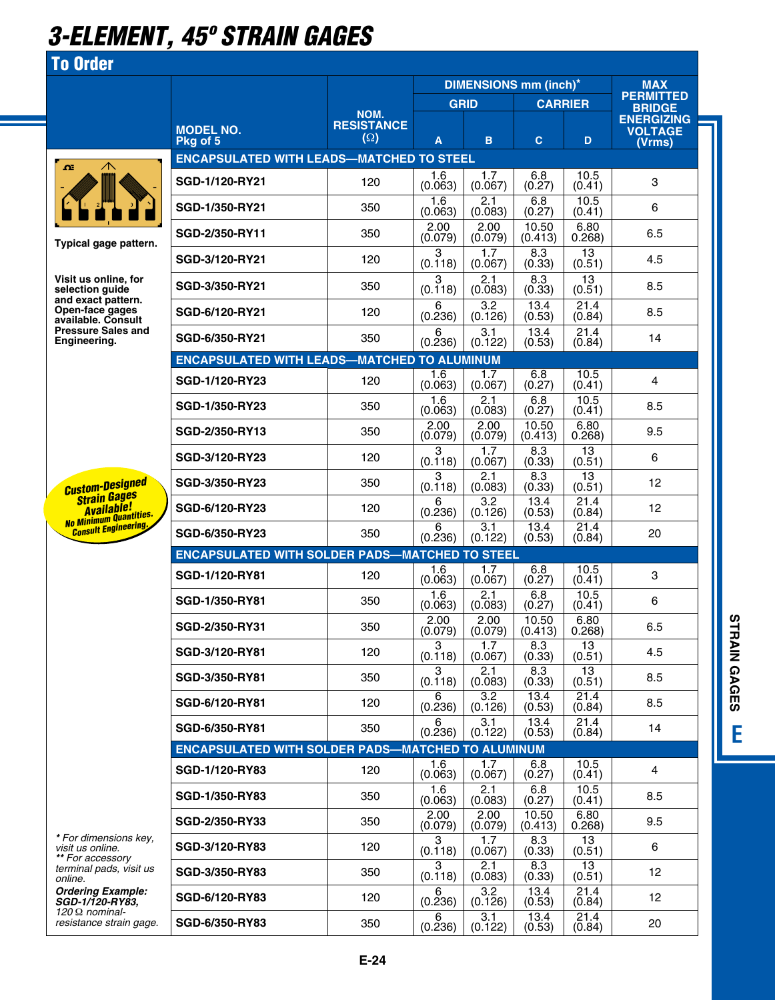## *3-element, 45º strain gages*

#### To Order



|                                                                      |                                                          |                                 |                        | <b>DIMENSIONS mm (inch)*</b> |                      |                                 | <b>MAX</b>                                    |
|----------------------------------------------------------------------|----------------------------------------------------------|---------------------------------|------------------------|------------------------------|----------------------|---------------------------------|-----------------------------------------------|
|                                                                      |                                                          | NOM.                            | <b>GRID</b>            |                              | <b>CARRIER</b>       |                                 | <b>PERMITTED</b><br><b>BRIDGE</b>             |
|                                                                      | <b>MODEL NO.</b><br>Pkg of 5                             | <b>RESISTANCE</b><br>$(\Omega)$ | A                      | B                            | C.                   | D                               | <b>ENERGIZING</b><br><b>VOLTAGE</b><br>(Vrms) |
| $\wedge$<br>$\mathbf{\Omega}$                                        | <b>ENCAPSULATED WITH LEADS-MATCHED TO STEEL</b>          |                                 |                        |                              |                      |                                 |                                               |
|                                                                      | SGD-1/120-RY21                                           | 120                             | 1.6<br>(0.063)         | 1.7<br>(0.067)               | 6.8<br>(0.27)        | 10.5<br>(0.41)                  | 3                                             |
|                                                                      | SGD-1/350-RY21                                           | 350                             | 1.6<br>(0.063)         | 2.1<br>(0.083)               | 6.8<br>(0.27)        | 10.5<br>(0.41)                  | 6                                             |
| Typical gage pattern.                                                | SGD-2/350-RY11                                           | 350                             | 2.00<br>(0.079)        | 2.00<br>(0.079)              | 10.50<br>(0.413)     | 6.80<br>0.268)                  | 6.5                                           |
|                                                                      | SGD-3/120-RY21                                           | 120                             | 3<br>(0.118)           | 1.7<br>(0.067)               | 8.3<br>(0.33)        | 13<br>(0.51)                    | 4.5                                           |
| Visit us online, for<br>selection guide<br>and exact pattern.        | SGD-3/350-RY21                                           | 350                             | 3<br>(0.118)           | 2.1<br>(0.083)               | 8.3<br>(0.33)        | 13<br>(0.51)                    | 8.5                                           |
| Open-face gages<br>available, Consult                                | SGD-6/120-RY21                                           | 120                             | 6<br>(0.236)           | 3.2<br>(0.126)               | 13.4<br>(0.53)       | 21.4<br>(0.84)                  | 8.5                                           |
| <b>Pressure Sales and</b><br>Enaineerina.                            | SGD-6/350-RY21                                           | 350                             | 6<br>(0.236)           | 3.1<br>(0.122)               | 13.4<br>(0.53)       | 21.4<br>(0.84)                  | 14                                            |
|                                                                      | <b>ENCAPSULATED WITH LEADS-MATCHED TO ALUMINUM</b>       |                                 | 1.6                    | 1.7                          |                      |                                 |                                               |
|                                                                      | SGD-1/120-RY23                                           | 120                             | (0.063)                | (0.067)                      | 6.8<br>(0.27)        | 10.5<br>(0.41)                  | 4                                             |
|                                                                      | <b>SGD-1/350-RY23</b>                                    | 350                             | 1.6<br>(0.063)         | 2.1<br>(0.083)               | 6.8<br>(0.27)        | 10.5<br>(0.41)                  | 8.5                                           |
|                                                                      | SGD-2/350-RY13                                           | 350                             | 2.00<br>(0.079)        | 2.00<br>(0.079)              | 10.50<br>(0.413)     | 6.80<br>0.268)                  | 9.5                                           |
|                                                                      | SGD-3/120-RY23                                           | 120                             | 3<br>(0.118)           | 1.7<br>(0.067)               | 8.3<br>(0.33)        | 13<br>(0.51)                    | 6                                             |
| <b>Custom-Designed</b><br><b>Strain Gages</b>                        | SGD-3/350-RY23                                           | 350                             | 3<br>(0.118)           | 2.1<br>(0.083)               | 8.3<br>(0.33)        | 13<br>(0.51)                    | 12                                            |
| <b>Available!</b><br><b>No Minimum Quantities.</b>                   | SGD-6/120-RY23                                           | 120                             | 6<br>(0.236)           | 3.2<br>(0.126)               | 13.4<br>(0.53)       | 21.4<br>(0.84)                  | 12                                            |
| <b>Consult Engineering.</b>                                          | SGD-6/350-RY23                                           | 350                             | 6<br>(0.236)           | 3.1<br>(0.122)               | 13.4<br>(0.53)       | 21.4<br>(0.84)                  | 20                                            |
|                                                                      | <b>ENCAPSULATED WITH SOLDER PADS-MATCHED TO STEEL</b>    |                                 |                        |                              |                      |                                 |                                               |
|                                                                      | SGD-1/120-RY81                                           | 120                             | 1.6<br>(0.063)         | 1.7<br>(0.067)               | 6.8<br>(0.27)        | 10.5<br>(0.41)                  | 3                                             |
|                                                                      | SGD-1/350-RY81                                           | 350                             | 1.6<br>(0.063)         | 2.1<br>(0.083)               | 6.8<br>(0.27)        | 10.5<br>(0.41)                  | 6                                             |
|                                                                      | <b>SGD-2/350-RY31</b>                                    | 350                             | 2.00<br>(0.079)        | 2.00<br>(0.079)              | 10.50<br>(0.413)     | 6.80<br>0.268)                  | 6.5                                           |
|                                                                      | SGD-3/120-RY81                                           | 120                             | 3<br>(0.118)           | 1.7<br>(0.067)               | 8.3<br>(0.33)        | 13<br>(0.51)                    | 4.5                                           |
|                                                                      | SGD-3/350-RY81                                           | 350                             | 3<br>(0.118)           | 2.1<br>(0.083)               | 8.3<br>(0.33)        | 13<br>(0.51)                    | 8.5                                           |
|                                                                      | SGD-6/120-RY81                                           | 120                             | 6<br>(0.236)           | 3.2<br>(0.126)               | 13.4<br>(0.53)       | 21.4<br>(0.84)                  | 8.5                                           |
|                                                                      | SGD-6/350-RY81                                           | 350                             | 6<br>(0.236)           | 3.1<br>(0.122)               | 13.4<br>(0.53)       | 21.4<br>(0.84)                  | 14                                            |
|                                                                      | <b>ENCAPSULATED WITH SOLDER PADS-MATCHED TO ALUMINUM</b> |                                 |                        |                              |                      |                                 |                                               |
|                                                                      | SGD-1/120-RY83                                           | 120                             | 1.6<br>(0.063)         | 1.7<br>(0.067)<br>2.1        | 6.8<br>(0.27)<br>6.8 | 10.5<br>(0.41)<br>10.5          | $\overline{4}$                                |
|                                                                      | SGD-1/350-RY83                                           | 350                             | 1.6<br>(0.063)<br>2.00 | (0.083)<br>2.00              | (0.27)<br>10.50      | (0.41)<br>6.80                  | 8.5                                           |
| * For dimensions key,                                                | SGD-2/350-RY33                                           | 350                             | (0.079)                | (0.079)                      | (0.413)              | 0.268)                          | 9.5                                           |
| visit us online.<br>** For accessory                                 | SGD-3/120-RY83                                           | 120                             | 3<br>(0.118)<br>3      | 1.7<br>(0.067)<br>2.1        | 8.3<br>(0.33)<br>8.3 | 13<br>(0.51)<br>$\overline{13}$ | 6                                             |
| terminal pads, visit us<br>online.                                   | <b>SGD-3/350-RY83</b>                                    | 350                             | (0.118)                | (0.083)<br>3.2               | (0.33)<br>13.4       | (0.51)                          | 12                                            |
| <b>Ordering Example:</b><br>SGD-1/120-RY83,<br>120 $\Omega$ nominal- | SGD-6/120-RY83                                           | 120                             | 6<br>(0.236)           | (0.126)                      | (0.53)               | 21.4<br>(0.84)                  | 12                                            |
| resistance strain gage.                                              | SGD-6/350-RY83                                           | 350                             | 6<br>(0.236)           | 3.1<br>(0.122)               | 13.4<br>(0.53)       | 21.4<br>(0.84)                  | 20                                            |

**STRAIN GAGES ESTRAIN GAGES** E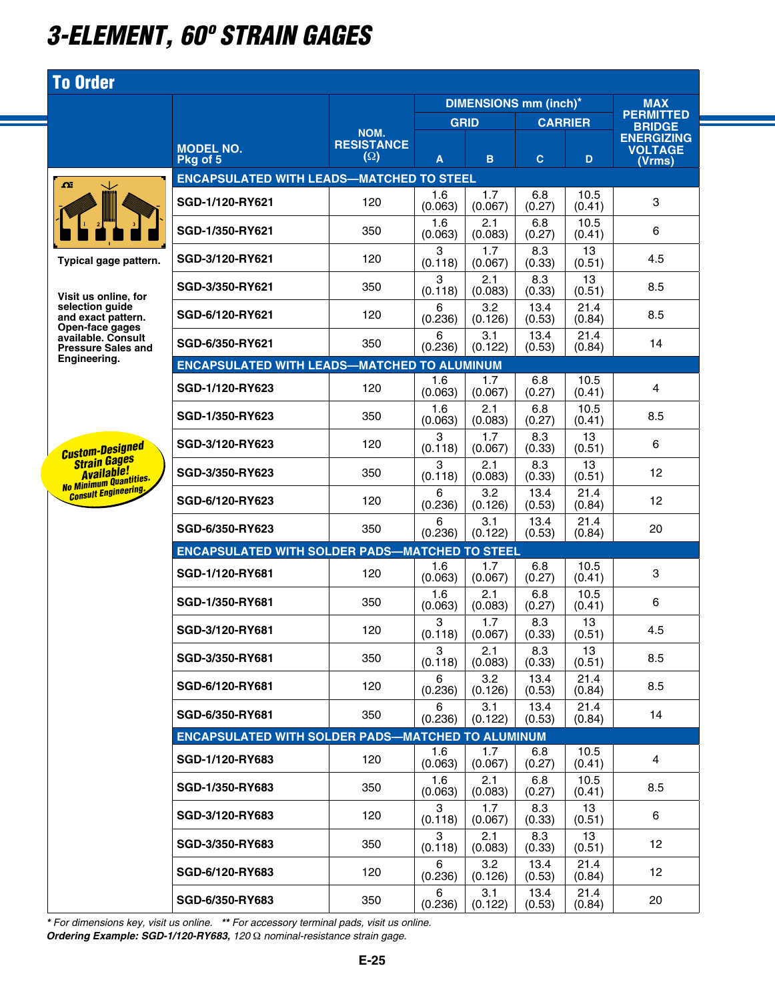## *3-element, 60º strain gages*

### To Order

| $\Omega$ |                      |        |
|----------|----------------------|--------|
| 1        | B.<br>$\overline{2}$ | I<br>3 |
|          |                      |        |

**Typical gage patter** 

**Visit us online, for selection guide and exact pattern. Open-face gages available. Consult Pressure Sales and Engineering.**

*Custom-Designed Strain Gages Available! No Minimum Quantities. Consult Engineering.*

|    |                                                          |                               |                | <b>DIMENSIONS mm (inch)*</b> |                | <b>MAX</b>     |                                               |
|----|----------------------------------------------------------|-------------------------------|----------------|------------------------------|----------------|----------------|-----------------------------------------------|
|    |                                                          | NOM.                          | <b>GRID</b>    |                              | <b>CARRIER</b> |                | <b>PERMITTED</b><br><b>BRIDGE</b>             |
|    | <b>MODEL NO.</b><br>Pkg of 5                             | <b>RESISTANCE</b><br>$\Omega$ | A              | B.                           | C              | D              | <b>ENERGIZING</b><br><b>VOLTAGE</b><br>(Vrms) |
|    | <b>ENCAPSULATED WITH LEADS-MATCHED TO STEEL</b>          |                               |                |                              |                |                |                                               |
|    | SGD-1/120-RY621                                          | 120                           | 1.6<br>(0.063) | 1.7<br>(0.067)               | 6.8<br>(0.27)  | 10.5<br>(0.41) | 3                                             |
|    | SGD-1/350-RY621                                          | 350                           | 1.6<br>(0.063) | 2.1<br>(0.083)               | 6.8<br>(0.27)  | 10.5<br>(0.41) | 6                                             |
| m. | SGD-3/120-RY621                                          | 120                           | 3<br>(0.118)   | 1.7<br>(0.067)               | 8.3<br>(0.33)  | 13<br>(0.51)   | 4.5                                           |
|    | SGD-3/350-RY621                                          | 350                           | 3<br>(0.118)   | 2.1<br>(0.083)               | 8.3<br>(0.33)  | 13<br>(0.51)   | 8.5                                           |
|    | SGD-6/120-RY621                                          | 120                           | 6<br>(0.236)   | 3.2<br>(0.126)               | 13.4<br>(0.53) | 21.4<br>(0.84) | 8.5                                           |
| ł  | SGD-6/350-RY621                                          | 350                           | 6<br>(0.236)   | 3.1<br>(0.122)               | 13.4<br>(0.53) | 21.4<br>(0.84) | 14                                            |
|    | <b>ENCAPSULATED WITH LEADS-MATCHED TO ALUMINUM</b>       |                               |                |                              |                |                |                                               |
|    | <b>SGD-1/120-RY623</b>                                   | 120                           | 1.6<br>(0.063) | 1.7<br>(0.067)               | 6.8<br>(0.27)  | 10.5<br>(0.41) | 4                                             |
|    | SGD-1/350-RY623                                          | 350                           | 1.6<br>(0.063) | 2.1<br>(0.083)               | 6.8<br>(0.27)  | 10.5<br>(0.41) | 8.5                                           |
|    | <b>SGD-3/120-RY623</b>                                   | 120                           | 3<br>(0.118)   | 1.7<br>(0.067)               | 8.3<br>(0.33)  | 13<br>(0.51)   | 6                                             |
|    | <b>SGD-3/350-RY623</b>                                   | 350                           | 3<br>(0.118)   | 2.1<br>(0.083)               | 8.3<br>(0.33)  | 13<br>(0.51)   | 12                                            |
|    | SGD-6/120-RY623                                          | 120                           | 6<br>(0.236)   | 3.2<br>(0.126)               | 13.4<br>(0.53) | 21.4<br>(0.84) | 12                                            |
|    | SGD-6/350-RY623                                          | 350                           | 6<br>(0.236)   | 3.1<br>(0.122)               | 13.4<br>(0.53) | 21.4<br>(0.84) | 20                                            |
|    | <b>ENCAPSULATED WITH SOLDER PADS-MATCHED TO STEEL</b>    |                               |                |                              |                |                |                                               |
|    | SGD-1/120-RY681                                          | 120                           | 1.6<br>(0.063) | 1.7<br>(0.067)               | 6.8<br>(0.27)  | 10.5<br>(0.41) | 3                                             |
|    | SGD-1/350-RY681                                          | 350                           | 1.6<br>(0.063) | 2.1<br>(0.083)               | 6.8<br>(0.27)  | 10.5<br>(0.41) | 6                                             |
|    | SGD-3/120-RY681                                          | 120                           | 3<br>(0.118)   | 1.7<br>(0.067)               | 8.3<br>(0.33)  | 13<br>(0.51)   | 4.5                                           |
|    | SGD-3/350-RY681                                          | 350                           | 3<br>(0.118)   | 2.1<br>(0.083)               | 8.3<br>(0.33)  | 13<br>(0.51)   | 8.5                                           |
|    | SGD-6/120-RY681                                          | 120                           | 6<br>(0.236)   | 3.2<br>(0.126)               | 13.4<br>(0.53) | 21.4<br>(0.84) | 8.5                                           |
|    | SGD-6/350-RY681                                          | 350                           | 6<br>(0.236)   | 3.1<br>(0.122)               | 13.4<br>(0.53) | 21.4<br>(0.84) | 14                                            |
|    | <b>ENCAPSULATED WITH SOLDER PADS-MATCHED TO ALUMINUM</b> |                               |                |                              |                |                |                                               |
|    | SGD-1/120-RY683                                          | 120                           | 1.6<br>(0.063) | 1.7<br>(0.067)               | 6.8<br>(0.27)  | 10.5<br>(0.41) | 4                                             |
|    | SGD-1/350-RY683                                          | 350                           | 1.6<br>(0.063) | 2.1<br>(0.083)               | 6.8<br>(0.27)  | 10.5<br>(0.41) | 8.5                                           |
|    | SGD-3/120-RY683                                          | 120                           | 3<br>(0.118)   | 1.7<br>(0.067)               | 8.3<br>(0.33)  | 13<br>(0.51)   | 6                                             |
|    | <b>SGD-3/350-RY683</b>                                   | 350                           | 3<br>(0.118)   | 2.1<br>(0.083)               | 8.3<br>(0.33)  | 13<br>(0.51)   | 12                                            |
|    | SGD-6/120-RY683                                          | 120                           | 6<br>(0.236)   | 3.2<br>(0.126)               | 13.4<br>(0.53) | 21.4<br>(0.84) | 12                                            |
|    | SGD-6/350-RY683                                          | 350                           | 6<br>(0.236)   | 3.1<br>(0.122)               | 13.4<br>(0.53) | 21.4<br>(0.84) | 20                                            |

*\* For dimensions key, visit us online. \*\* For accessory terminal pads, visit us online. Ordering Example: SGD-1/120-RY683, 120* Ω *nominal-resistance strain gage.*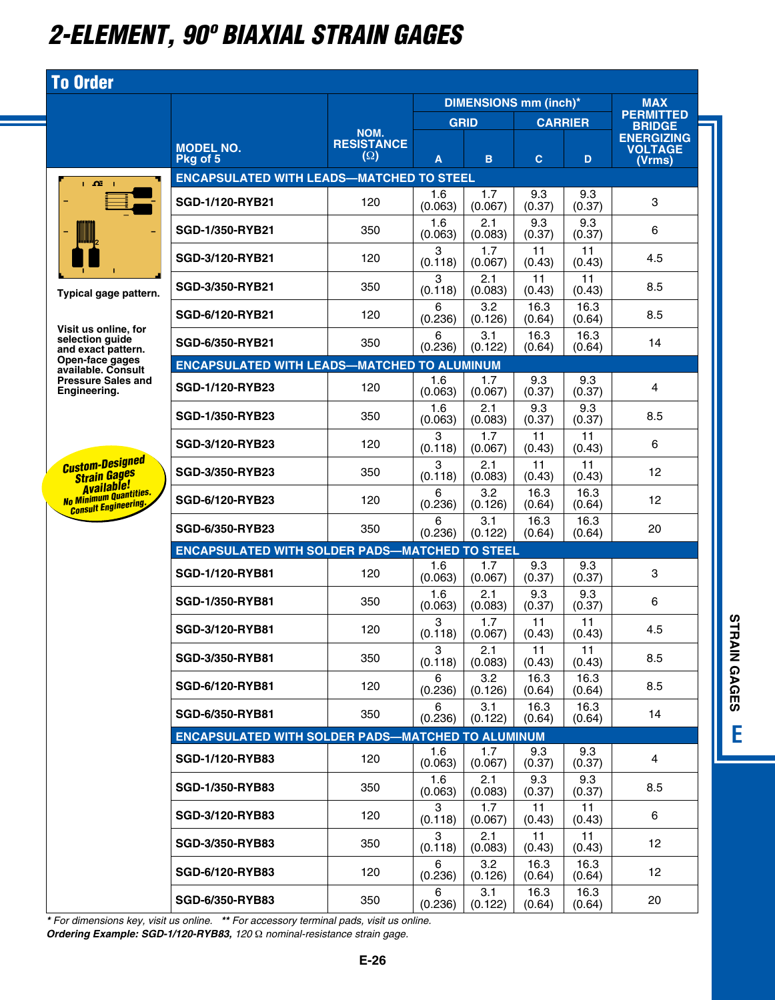## *2-element, 90º biaxial strain gages*

# $\pmb{\alpha}$  $\mathbf{u}$

To Order

SGD-1/120-RYB21

**Typical gage pate** 

**Visit us online, f selection guide and exact pattern. Open-face gages available. Consult Pressure Sales and Engineering.**

*Custom-Designed Strain Gages Available! No Minimum Quantities. Consult Engineering.*

|              |                                                          |                                         |                     | <b>DIMENSIONS mm (inch)*</b> |                |                      | <b>MAX</b>                                    |
|--------------|----------------------------------------------------------|-----------------------------------------|---------------------|------------------------------|----------------|----------------------|-----------------------------------------------|
|              |                                                          |                                         | <b>GRID</b>         |                              | <b>CARRIER</b> |                      | <b>PERMITTED</b><br><b>BRIDGE</b>             |
|              | <b>MODEL NO.</b><br>Pkg of 5                             | NOM.<br><b>RESISTANCE</b><br>$(\Omega)$ | A                   | B                            | $\mathbf{C}$   | D                    | <b>ENERGIZING</b><br><b>VOLTAGE</b><br>(Vrms) |
|              | <b>ENCAPSULATED WITH LEADS-MATCHED TO STEEL</b>          |                                         |                     |                              |                |                      |                                               |
|              | <b>SGD-1/120-RYB21</b>                                   | 120                                     | 1.6<br>(0.063)      | 1.7<br>(0.067)               | 9.3<br>(0.37)  | 9.3<br>(0.37)        | 3                                             |
|              | <b>SGD-1/350-RYB21</b>                                   | 350                                     | 1.6<br>(0.063)      | 2.1<br>(0.083)               | 9.3<br>(0.37)  | 9.3<br>(0.37)        | 6                                             |
|              | SGD-3/120-RYB21                                          | 120                                     | 3<br>(0.118)        | 1.7<br>(0.067)               | 11<br>(0.43)   | 11<br>(0.43)         | 4.5                                           |
| ttern.       | SGD-3/350-RYB21                                          | 350                                     | 3<br>(0.118)        | 2.1<br>(0.083)               | 11<br>(0.43)   | 11<br>(0.43)         | 8.5                                           |
| 'or          | SGD-6/120-RYB21                                          | 120                                     | 6<br>(0.236)        | 3.2<br>(0.126)               | 16.3<br>(0.64) | 16.3<br>(0.64)       | 8.5                                           |
| 'n.          | SGD-6/350-RYB21                                          | 350                                     | 6<br>(0.236)        | 3.1<br>(0.122)               | 16.3<br>(0.64) | 16.3<br>(0.64)       | 14                                            |
| s<br>ılt     | <b>ENCAPSULATED WITH LEADS-MATCHED TO ALUMINUM</b>       |                                         |                     |                              |                |                      |                                               |
| and          | <b>SGD-1/120-RYB23</b>                                   | 120                                     | 1.6<br>(0.063)      | 1.7<br>(0.067)               | 9.3<br>(0.37)  | 9.3<br>(0.37)        | 4                                             |
|              | <b>SGD-1/350-RYB23</b>                                   | 350                                     | 1.6<br>(0.063)      | 2.1<br>(0.083)               | 9.3<br>(0.37)  | 9.3<br>(0.37)        | 8.5                                           |
| ed           | SGD-3/120-RYB23                                          | 120                                     | 3<br>(0.118)        | 1.7<br>(0.067)               | 11<br>(0.43)   | 11<br>(0.43)         | 6                                             |
|              | <b>SGD-3/350-RYB23</b>                                   | 350                                     | 3<br>(0.118)        | 2.1<br>(0.083)               | 11<br>(0.43)   | 11<br>(0.43)         | 12                                            |
| ties.<br>ng. | SGD-6/120-RYB23                                          | 120                                     | 6<br>(0.236)        | 3.2<br>(0.126)<br>3.1        | 16.3<br>(0.64) | 16.3<br>(0.64)       | 12                                            |
|              | <b>SGD-6/350-RYB23</b>                                   | 350                                     | 6<br>(0.236)        | (0.122)                      | 16.3<br>(0.64) | 16.3<br>(0.64)       | 20                                            |
|              | <b>ENCAPSULATED WITH SOLDER PADS-MATCHED TO STEEL</b>    |                                         | 1.6                 | 1.7                          | 9.3            | 9.3                  |                                               |
|              | SGD-1/120-RYB81                                          | 120                                     | (0.063)             | (0.067)                      | (0.37)<br>9.3  | (0.37)<br>9.3        | 3                                             |
|              | <b>SGD-1/350-RYB81</b>                                   | 350                                     | 1.6<br>(0.063)<br>3 | 2.1<br>(0.083)<br>1.7        | (0.37)<br>11   | (0.37)<br>11         | 6                                             |
|              | SGD-3/120-RYB81                                          | 120                                     | (0.118)<br>3        | (0.067)<br>2.1               | (0.43)<br>11   | (0.43)<br>11         | 4.5                                           |
|              | SGD-3/350-RYB81                                          | 350                                     | (0.118)<br>6        | (0.083)<br>3.2               | (0.43)<br>16.3 | (0.43)<br>16.3       | 8.5                                           |
|              | SGD-6/120-RYB81                                          | 120                                     | (0.236)<br>6        | (0.126)<br>3.1               | (0.64)<br>16.3 | (0.64)<br>16.3       | 8.5                                           |
|              | SGD-6/350-RYB81                                          | 350                                     | (0.236)             | (0.122)                      | (0.64)         | (0.64)               | 14                                            |
|              | <b>ENCAPSULATED WITH SOLDER PADS-MATCHED TO ALUMINUM</b> |                                         |                     | 1.7                          | 9.3            |                      |                                               |
|              | SGD-1/120-RYB83                                          | 120                                     | 1.6<br>(0.063)      | (0.067)<br>2.1               | (0.37)         | 9.3<br>(0.37)<br>9.3 | 4                                             |
|              | <b>SGD-1/350-RYB83</b>                                   | 350                                     | 1.6<br>(0.063)      | (0.083)                      | 9.3<br>(0.37)  | (0.37)               | 8.5                                           |
|              | SGD-3/120-RYB83                                          | 120                                     | 3<br>(0.118)<br>3   | 1.7<br>(0.067)               | 11<br>(0.43)   | 11<br>(0.43)         | 6                                             |
|              | <b>SGD-3/350-RYB83</b>                                   | 350                                     | (0.118)             | 2.1<br>(0.083)               | 11<br>(0.43)   | 11<br>(0.43)         | 12 <sup>2</sup>                               |
|              | SGD-6/120-RYB83                                          | 120                                     | 6<br>(0.236)        | 3.2<br>(0.126)               | 16.3<br>(0.64) | 16.3<br>(0.64)       | 12                                            |
|              | SGD-6/350-RYB83                                          | 350                                     | 6<br>(0.236)        | 3.1<br>(0.122)               | 16.3<br>(0.64) | 16.3<br>(0.64)       | 20                                            |

*\* For dimensions key, visit us online. \*\* For accessory terminal pads, visit us online. Ordering Example: SGD-1/120-RYB83, 120* Ω *nominal-resistance strain gage.*